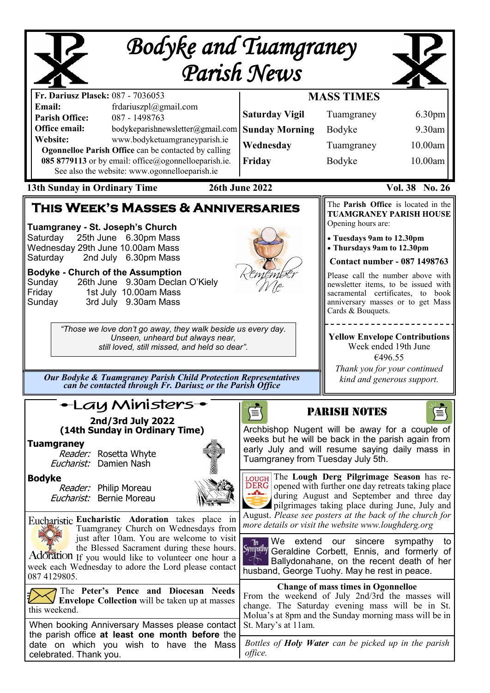